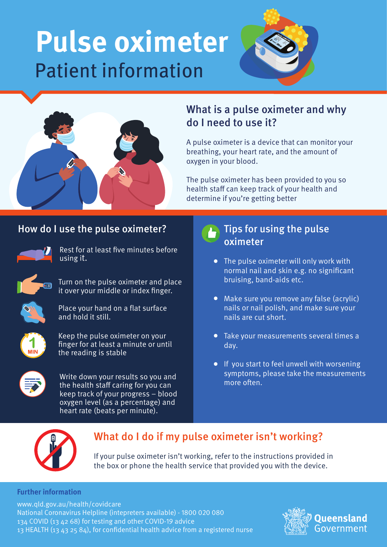# **Pulse oximeter** Patient information





# What is a pulse oximeter and why do I need to use it?

A pulse oximeter is a device that can monitor your breathing, your heart rate, and the amount of oxygen in your blood.

The pulse oximeter has been provided to you so health staff can keep track of your health and determine if you're getting better.

### How do I use the pulse oximeter?



Rest for at least five minutes before using it.



Turn on the pulse oximeter and place it over your middle or index finger.



Place your hand on a flat surface and hold it still.



Keep the pulse oximeter on your finger for at least a minute or until the reading is stable



Write down your results so you and the health staff caring for you can keep track of your progress – blood oxygen level (as a percentage) and heart rate (beats per minute).

#### Tips for using the pulse oximeter

- The pulse oximeter will only work with normal nail and skin e.g. no significant bruising, band-aids etc.
- Make sure you remove any false (acrylic) nails or nail polish, and make sure your nails are cut short.
- Take your measurements several times a  $\bullet$ day.
- **If you start to feel unwell with worsening** symptoms, please take the measurements more often



# What do I do if my pulse oximeter isn't working?

If your pulse oximeter isn't working, refer to the instructions provided in the box or phone the health service that provided you with the device.

#### **Further information**

www.qld.gov.au/health/covidcare National Coronavirus Helpline (intepreters available) - 1800 020 080 134 COVID (13 42 68) for testing and other COVID-19 advice 13 HEALTH (13 43 25 84), for condential health advice from a registered nurse